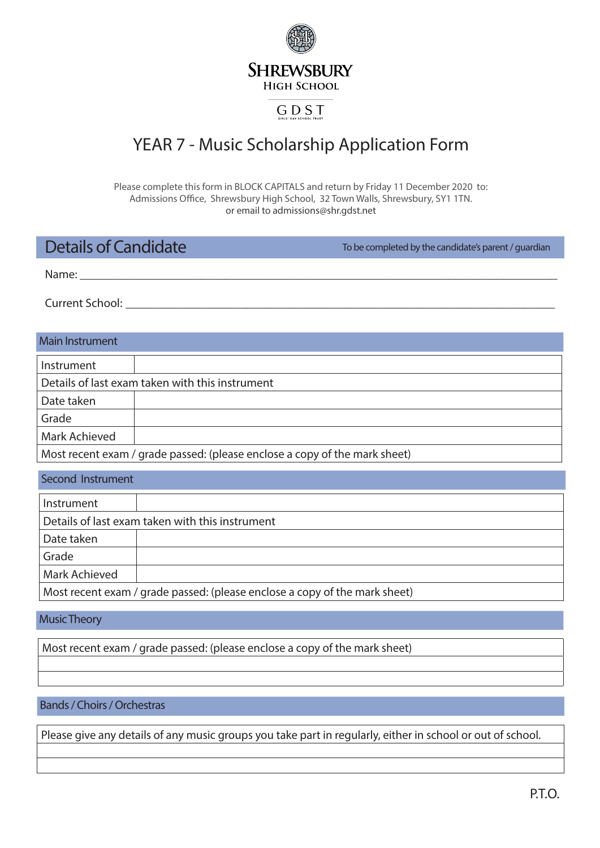**SHREWSBURY HIGH SCHOOL** 

### GDST

# YEAR 7 - Music Scholarship Application Form

Please complete this form in BLOCK CAPITALS and return by Friday 11 December 2020 to: Admissions Office, Shrewsbury High School, 32 Town Walls, Shrewsbury, SY1 1TN. or email to admissions@shr.gdst.net

## Details of Candidate

To be completed by the candidate's parent / guardian

Name: **\_\_\_\_\_\_\_\_\_\_\_\_\_\_\_\_\_\_\_\_\_\_\_\_\_\_\_\_\_\_\_\_\_\_\_\_\_\_\_\_\_\_\_\_\_\_\_\_\_\_\_\_\_\_\_\_\_\_\_\_\_\_\_\_\_\_\_\_\_\_\_\_\_\_\_\_\_\_\_**

Current School: **\_\_\_\_\_\_\_\_\_\_\_\_\_\_\_\_\_\_\_\_\_\_\_\_\_\_\_\_\_\_\_\_\_\_\_\_\_\_\_\_\_\_\_\_\_\_\_\_\_\_\_\_\_\_\_\_\_\_\_\_\_\_\_\_\_\_\_\_\_\_\_**

#### Main Instrument

| Instrument                                                                 |  |
|----------------------------------------------------------------------------|--|
| Details of last exam taken with this instrument                            |  |
| Date taken                                                                 |  |
| Grade                                                                      |  |
| Mark Achieved                                                              |  |
| Most recent exam / grade passed: (please enclose a copy of the mark sheet) |  |

| Second Instrument                                                          |  |
|----------------------------------------------------------------------------|--|
| Instrument                                                                 |  |
| Details of last exam taken with this instrument                            |  |
| Date taken                                                                 |  |
| Grade                                                                      |  |
| <b>Mark Achieved</b>                                                       |  |
| Most recent exam / grade passed: (please enclose a copy of the mark sheet) |  |

#### Music Theory

Most recent exam / grade passed: (please enclose a copy of the mark sheet)

#### Bands / Choirs / Orchestras

Please give any details of any music groups you take part in regularly, either in school or out of school.